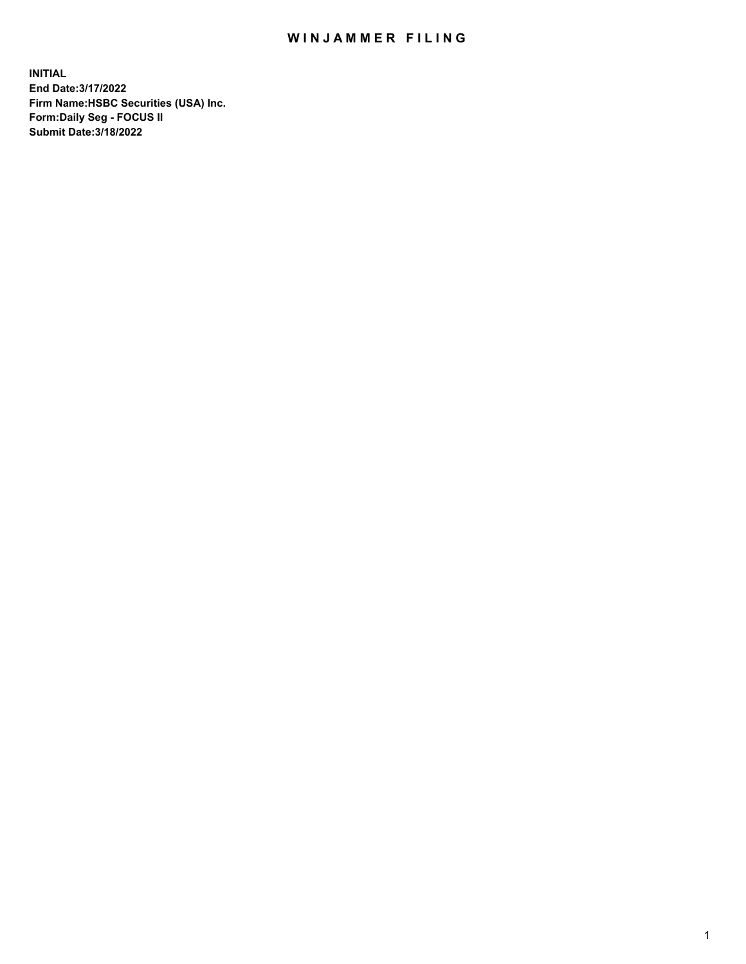## WIN JAMMER FILING

**INITIAL End Date:3/17/2022 Firm Name:HSBC Securities (USA) Inc. Form:Daily Seg - FOCUS II Submit Date:3/18/2022**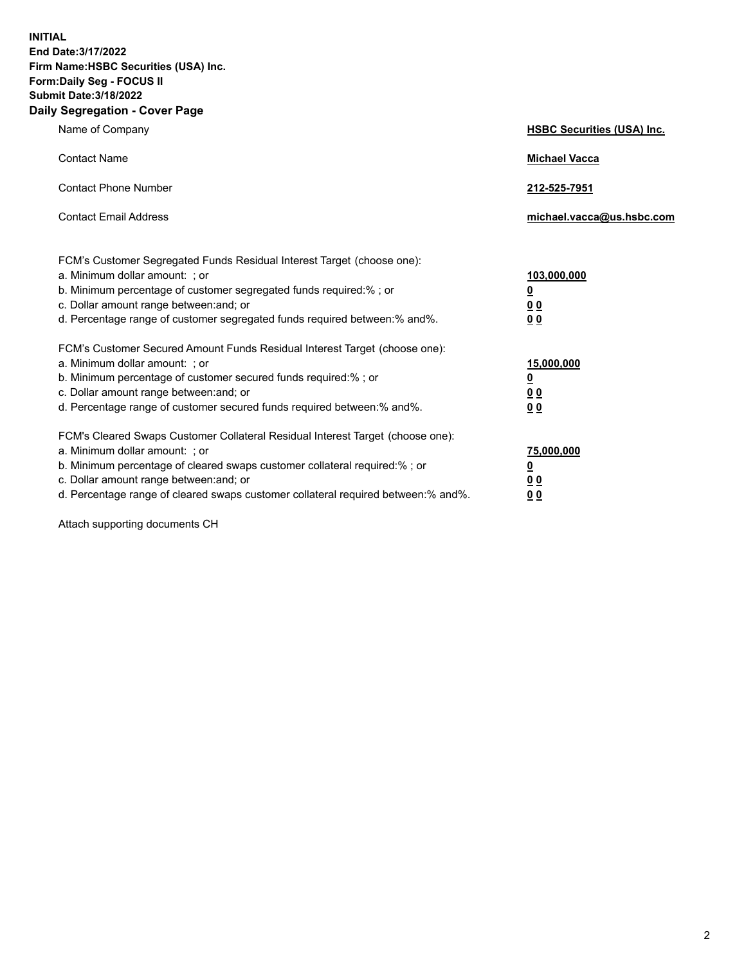**INITIAL End Date:3/17/2022 Firm Name:HSBC Securities (USA) Inc. Form:Daily Seg - FOCUS II Submit Date:3/18/2022 Daily Segregation - Cover Page**

| Name of Company                                                                                                                                                                                                                                                                                                                | <b>HSBC Securities (USA) Inc.</b>                          |
|--------------------------------------------------------------------------------------------------------------------------------------------------------------------------------------------------------------------------------------------------------------------------------------------------------------------------------|------------------------------------------------------------|
| <b>Contact Name</b>                                                                                                                                                                                                                                                                                                            | <b>Michael Vacca</b>                                       |
| <b>Contact Phone Number</b>                                                                                                                                                                                                                                                                                                    | 212-525-7951                                               |
| <b>Contact Email Address</b>                                                                                                                                                                                                                                                                                                   | michael.vacca@us.hsbc.com                                  |
| FCM's Customer Segregated Funds Residual Interest Target (choose one):<br>a. Minimum dollar amount: ; or<br>b. Minimum percentage of customer segregated funds required:%; or<br>c. Dollar amount range between: and; or<br>d. Percentage range of customer segregated funds required between: % and %.                        | 103,000,000<br><u>0</u><br>00<br>0 <sub>0</sub>            |
| FCM's Customer Secured Amount Funds Residual Interest Target (choose one):<br>a. Minimum dollar amount: ; or<br>b. Minimum percentage of customer secured funds required:%; or<br>c. Dollar amount range between: and; or<br>d. Percentage range of customer secured funds required between: % and %.                          | 15,000,000<br><u>0</u><br>0 <sub>0</sub><br>0 <sub>0</sub> |
| FCM's Cleared Swaps Customer Collateral Residual Interest Target (choose one):<br>a. Minimum dollar amount: ; or<br>b. Minimum percentage of cleared swaps customer collateral required:% ; or<br>c. Dollar amount range between: and; or<br>d. Percentage range of cleared swaps customer collateral required between:% and%. | 75,000,000<br><u>0</u><br><u>00</u><br>00                  |

Attach supporting documents CH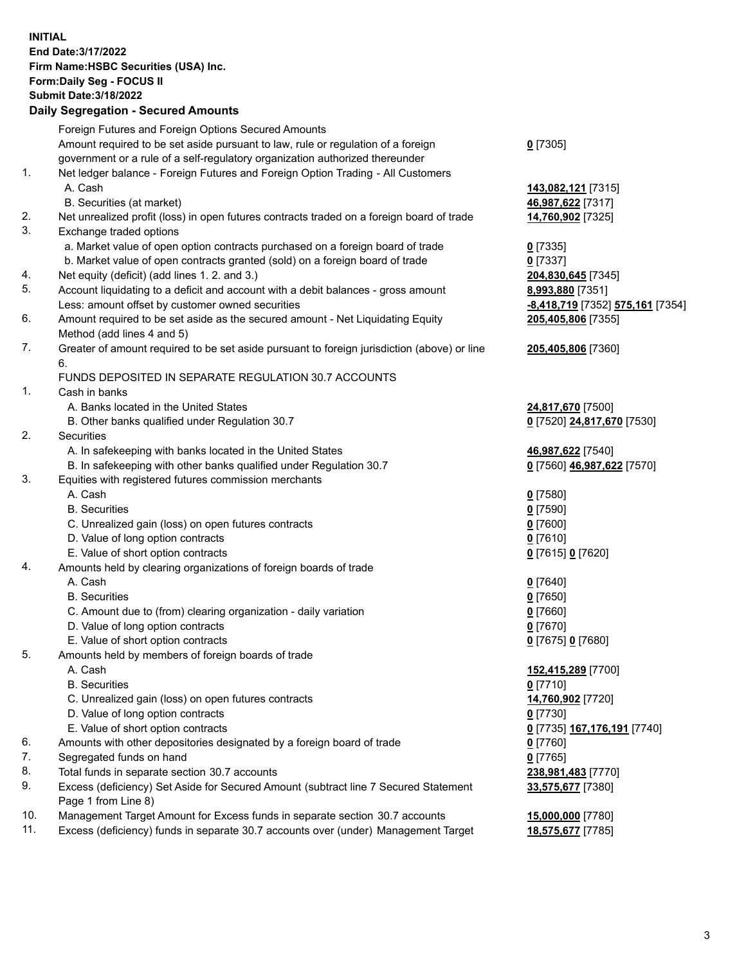**INITIAL End Date:3/17/2022 Firm Name:HSBC Securities (USA) Inc. Form:Daily Seg - FOCUS II Submit Date:3/18/2022 Daily Segregation - Secured Amounts** Foreign Futures and Foreign Options Secured Amounts Amount required to be set aside pursuant to law, rule or regulation of a foreign government or a rule of a self-regulatory organization authorized thereunder

## 1. Net ledger balance - Foreign Futures and Foreign Option Trading - All Customers A. Cash **143,082,121** [7315]

- B. Securities (at market) **46,987,622** [7317]
- 2. Net unrealized profit (loss) in open futures contracts traded on a foreign board of trade **14,760,902** [7325]
- 3. Exchange traded options
	- a. Market value of open option contracts purchased on a foreign board of trade **0** [7335]
	- b. Market value of open contracts granted (sold) on a foreign board of trade **0** [7337]
- 4. Net equity (deficit) (add lines 1. 2. and 3.) **204,830,645** [7345]
- 5. Account liquidating to a deficit and account with a debit balances gross amount **8,993,880** [7351] Less: amount offset by customer owned securities **-8,418,719** [7352] **575,161** [7354]
- 6. Amount required to be set aside as the secured amount Net Liquidating Equity Method (add lines 4 and 5)
- 7. Greater of amount required to be set aside pursuant to foreign jurisdiction (above) or line 6.

## FUNDS DEPOSITED IN SEPARATE REGULATION 30.7 ACCOUNTS

- 1. Cash in banks
	- A. Banks located in the United States **24,817,670** [7500]
	- B. Other banks qualified under Regulation 30.7 **0** [7520] **24,817,670** [7530]
- 2. Securities
	- A. In safekeeping with banks located in the United States **46,987,622** [7540]
	- B. In safekeeping with other banks qualified under Regulation 30.7 **0** [7560] **46,987,622** [7570]
- 3. Equities with registered futures commission merchants
	- A. Cash **0** [7580]
	- B. Securities **0** [7590]
	- C. Unrealized gain (loss) on open futures contracts **0** [7600]
	- D. Value of long option contracts **0** [7610]
	- E. Value of short option contracts **0** [7615] **0** [7620]
- 4. Amounts held by clearing organizations of foreign boards of trade
	- A. Cash **0** [7640]
	- B. Securities **0** [7650]
	- C. Amount due to (from) clearing organization daily variation **0** [7660]
	- D. Value of long option contracts **0** [7670]
	- E. Value of short option contracts **0** [7675] **0** [7680]
- 5. Amounts held by members of foreign boards of trade
	-
	- B. Securities **0** [7710]
	- C. Unrealized gain (loss) on open futures contracts **14,760,902** [7720]
	- D. Value of long option contracts **0** [7730]
	- E. Value of short option contracts **0** [7735] **167,176,191** [7740]
- 6. Amounts with other depositories designated by a foreign board of trade **0** [7760]
- 7. Segregated funds on hand **0** [7765]
- 8. Total funds in separate section 30.7 accounts **238,981,483** [7770]
- 9. Excess (deficiency) Set Aside for Secured Amount (subtract line 7 Secured Statement Page 1 from Line 8)
- 10. Management Target Amount for Excess funds in separate section 30.7 accounts **15,000,000** [7780]
- 11. Excess (deficiency) funds in separate 30.7 accounts over (under) Management Target **18,575,677** [7785]
- **0** [7305]
- **205,405,806** [7355]
- **205,405,806** [7360]
- 
- 
- 
- 
- 
- A. Cash **152,415,289** [7700] **33,575,677** [7380]
	-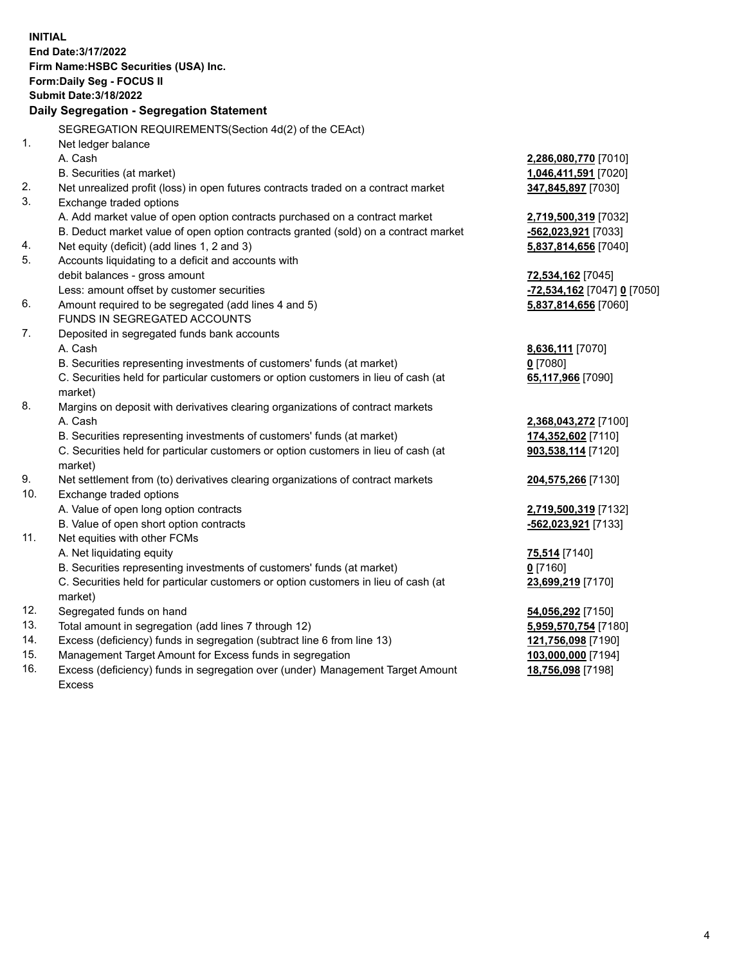**INITIAL End Date:3/17/2022 Firm Name:HSBC Securities (USA) Inc. Form:Daily Seg - FOCUS II Submit Date:3/18/2022 Daily Segregation - Segregation Statement** SEGREGATION REQUIREMENTS(Section 4d(2) of the CEAct) 1. Net ledger balance A. Cash **2,286,080,770** [7010] B. Securities (at market) **1,046,411,591** [7020] 2. Net unrealized profit (loss) in open futures contracts traded on a contract market **347,845,897** [7030] 3. Exchange traded options A. Add market value of open option contracts purchased on a contract market **2,719,500,319** [7032] B. Deduct market value of open option contracts granted (sold) on a contract market **-562,023,921** [7033] 4. Net equity (deficit) (add lines 1, 2 and 3) **5,837,814,656** [7040] 5. Accounts liquidating to a deficit and accounts with debit balances - gross amount **72,534,162** [7045] Less: amount offset by customer securities **-72,534,162** [7047] **0** [7050] 6. Amount required to be segregated (add lines 4 and 5) **5,837,814,656** [7060] FUNDS IN SEGREGATED ACCOUNTS 7. Deposited in segregated funds bank accounts A. Cash **8,636,111** [7070] B. Securities representing investments of customers' funds (at market) **0** [7080] C. Securities held for particular customers or option customers in lieu of cash (at market) **65,117,966** [7090] 8. Margins on deposit with derivatives clearing organizations of contract markets A. Cash **2,368,043,272** [7100] B. Securities representing investments of customers' funds (at market) **174,352,602** [7110] C. Securities held for particular customers or option customers in lieu of cash (at market) **903,538,114** [7120] 9. Net settlement from (to) derivatives clearing organizations of contract markets **204,575,266** [7130] 10. Exchange traded options A. Value of open long option contracts **2,719,500,319** [7132] B. Value of open short option contracts **-562,023,921** [7133] 11. Net equities with other FCMs A. Net liquidating equity **75,514** [7140] B. Securities representing investments of customers' funds (at market) **0** [7160] C. Securities held for particular customers or option customers in lieu of cash (at market) **23,699,219** [7170] 12. Segregated funds on hand **54,056,292** [7150] 13. Total amount in segregation (add lines 7 through 12) **5,959,570,754** [7180] 14. Excess (deficiency) funds in segregation (subtract line 6 from line 13) **121,756,098** [7190] 15. Management Target Amount for Excess funds in segregation **103,000,000** [7194]

16. Excess (deficiency) funds in segregation over (under) Management Target Amount Excess

**18,756,098** [7198]